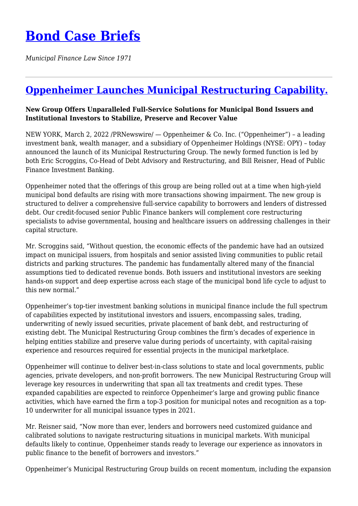## **[Bond Case Briefs](https://bondcasebriefs.com)**

*Municipal Finance Law Since 1971*

## **[Oppenheimer Launches Municipal Restructuring Capability.](https://bondcasebriefs.com/2022/03/08/news/oppenheimer-launches-municipal-restructuring-capability/)**

## **New Group Offers Unparalleled Full-Service Solutions for Municipal Bond Issuers and Institutional Investors to Stabilize, Preserve and Recover Value**

NEW YORK, March 2, 2022 /PRNewswire/ — Oppenheimer & Co. Inc. ("Oppenheimer") – a leading investment bank, wealth manager, and a subsidiary of Oppenheimer Holdings (NYSE: OPY) – today announced the launch of its Municipal Restructuring Group. The newly formed function is led by both Eric Scroggins, Co-Head of Debt Advisory and Restructuring, and Bill Reisner, Head of Public Finance Investment Banking.

Oppenheimer noted that the offerings of this group are being rolled out at a time when high-yield municipal bond defaults are rising with more transactions showing impairment. The new group is structured to deliver a comprehensive full-service capability to borrowers and lenders of distressed debt. Our credit-focused senior Public Finance bankers will complement core restructuring specialists to advise governmental, housing and healthcare issuers on addressing challenges in their capital structure.

Mr. Scroggins said, "Without question, the economic effects of the pandemic have had an outsized impact on municipal issuers, from hospitals and senior assisted living communities to public retail districts and parking structures. The pandemic has fundamentally altered many of the financial assumptions tied to dedicated revenue bonds. Both issuers and institutional investors are seeking hands-on support and deep expertise across each stage of the municipal bond life cycle to adjust to this new normal."

Oppenheimer's top-tier investment banking solutions in municipal finance include the full spectrum of capabilities expected by institutional investors and issuers, encompassing sales, trading, underwriting of newly issued securities, private placement of bank debt, and restructuring of existing debt. The Municipal Restructuring Group combines the firm's decades of experience in helping entities stabilize and preserve value during periods of uncertainty, with capital-raising experience and resources required for essential projects in the municipal marketplace.

Oppenheimer will continue to deliver best-in-class solutions to state and local governments, public agencies, private developers, and non-profit borrowers. The new Municipal Restructuring Group will leverage key resources in underwriting that span all tax treatments and credit types. These expanded capabilities are expected to reinforce Oppenheimer's large and growing public finance activities, which have earned the firm a top-3 position for municipal notes and recognition as a top-10 underwriter for all municipal issuance types in 2021.

Mr. Reisner said, "Now more than ever, lenders and borrowers need customized guidance and calibrated solutions to navigate restructuring situations in municipal markets. With municipal defaults likely to continue, Oppenheimer stands ready to leverage our experience as innovators in public finance to the benefit of borrowers and investors."

Oppenheimer's Municipal Restructuring Group builds on recent momentum, including the expansion